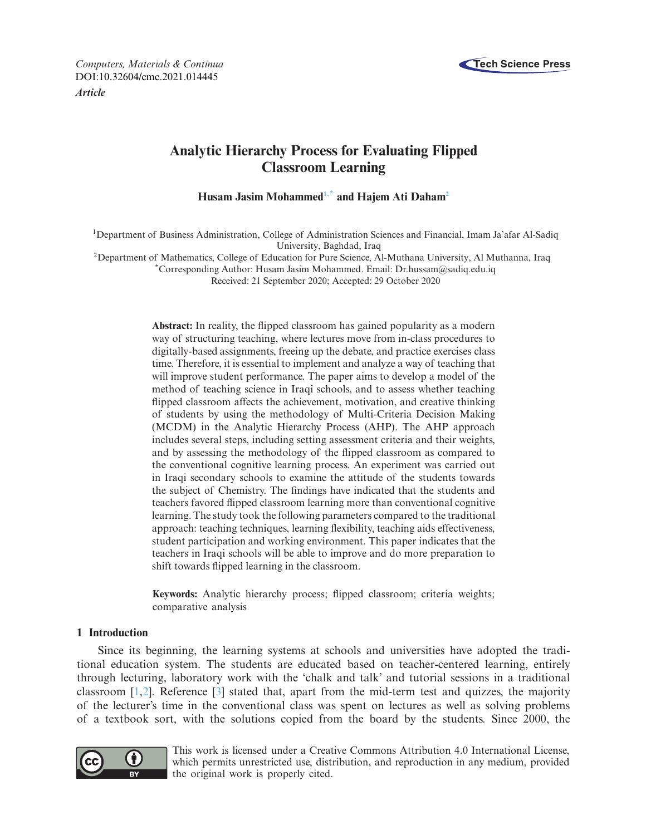

*Computers, Materials & Continua* **Tech Science Press** DOI[:10.32604/cmc.2021.014445](http://dx.doi.org/10.32604/cmc.2021.014445)

*Article*

# **Analytic Hierarchy Process for Evaluating Flipped Classroom Learning**

**Husam Jasim Mohamme[d1](#page-0-0)[,\\*](#page-0-1) and Hajem Ati Daha[m2](#page-0-2)**

<span id="page-0-0"></span>1Department of Business Administration, College of Administration Sciences and Financial, Imam Ja'afar Al-Sadiq University, Baghdad, Iraq

<span id="page-0-2"></span>2Department of Mathematics, College of Education for Pure Science, Al-Muthana University, Al Muthanna, Iraq

<span id="page-0-1"></span>\*Corresponding Author: Husam Jasim Mohammed. Email: Dr.hussam@sadiq.edu.iq

Received: 21 September 2020; Accepted: 29 October 2020

**Abstract:** In reality, the flipped classroom has gained popularity as a modern way of structuring teaching, where lectures move from in-class procedures to digitally-based assignments, freeing up the debate, and practice exercises class time. Therefore, it is essential to implement and analyze a way of teaching that will improve student performance. The paper aims to develop a model of the method of teaching science in Iraqi schools, and to assess whether teaching flipped classroom affects the achievement, motivation, and creative thinking of students by using the methodology of Multi-Criteria Decision Making (MCDM) in the Analytic Hierarchy Process (AHP). The AHP approach includes several steps, including setting assessment criteria and their weights, and by assessing the methodology of the flipped classroom as compared to the conventional cognitive learning process. An experiment was carried out in Iraqi secondary schools to examine the attitude of the students towards the subject of Chemistry. The findings have indicated that the students and teachers favored flipped classroom learning more than conventional cognitive learning. The study took the following parameters compared to the traditional approach: teaching techniques, learning flexibility, teaching aids effectiveness, student participation and working environment. This paper indicates that the teachers in Iraqi schools will be able to improve and do more preparation to shift towards flipped learning in the classroom.

**Keywords:** Analytic hierarchy process; flipped classroom; criteria weights; comparative analysis

# **1 Introduction**

Since its beginning, the learning systems at schools and universities have adopted the traditional education system. The students are educated based on teacher-centered learning, entirely through lecturing, laboratory work with the 'chalk and talk' and tutorial sessions in a traditional classroom  $[1,2]$  $[1,2]$ . Reference  $[3]$  stated that, apart from the mid-term test and quizzes, the majority of the lecturer's time in the conventional class was spent on lectures as well as solving problems of a textbook sort, with the solutions copied from the board by the students. Since 2000, the



This work is licensed under a Creative Commons Attribution 4.0 International License, which permits unrestricted use, distribution, and reproduction in any medium, provided the original work is properly cited.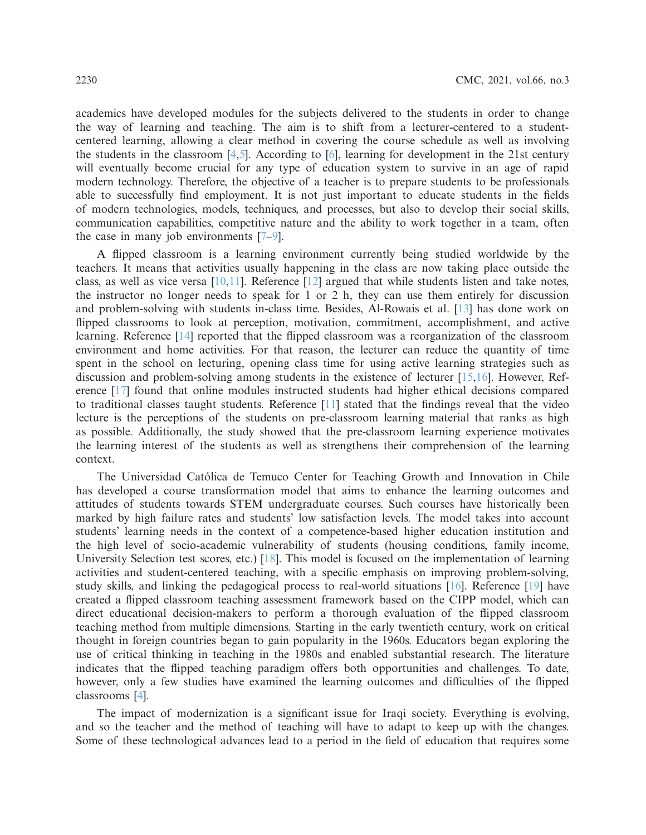academics have developed modules for the subjects delivered to the students in order to change the way of learning and teaching. The aim is to shift from a lecturer-centered to a studentcentered learning, allowing a clear method in covering the course schedule as well as involving the students in the classroom  $[4,5]$  $[4,5]$  $[4,5]$ . According to  $[6]$  $[6]$ , learning for development in the 21st century will eventually become crucial for any type of education system to survive in an age of rapid modern technology. Therefore, the objective of a teacher is to prepare students to be professionals able to successfully find employment. It is not just important to educate students in the fields of modern technologies, models, techniques, and processes, but also to develop their social skills, communication capabilities, competitive nature and the ability to work together in a team, often the case in many job environments [\[7](#page-9-6)[–9\]](#page-9-7).

A flipped classroom is a learning environment currently being studied worldwide by the teachers. It means that activities usually happening in the class are now taking place outside the class, as well as vice versa  $[10,11]$  $[10,11]$  $[10,11]$ . Reference  $[12]$  argued that while students listen and take notes, the instructor no longer needs to speak for 1 or 2 h, they can use them entirely for discussion and problem-solving with students in-class time. Besides, Al-Rowais et al. [\[13\]](#page-9-11) has done work on flipped classrooms to look at perception, motivation, commitment, accomplishment, and active learning. Reference [\[14](#page-9-12)] reported that the flipped classroom was a reorganization of the classroom environment and home activities. For that reason, the lecturer can reduce the quantity of time spent in the school on lecturing, opening class time for using active learning strategies such as discussion and problem-solving among students in the existence of lecturer [\[15](#page-9-13)[,16](#page-10-0)]. However, Reference [\[17\]](#page-10-1) found that online modules instructed students had higher ethical decisions compared to traditional classes taught students. Reference [\[11\]](#page-9-9) stated that the findings reveal that the video lecture is the perceptions of the students on pre-classroom learning material that ranks as high as possible. Additionally, the study showed that the pre-classroom learning experience motivates the learning interest of the students as well as strengthens their comprehension of the learning context.

The Universidad Católica de Temuco Center for Teaching Growth and Innovation in Chile has developed a course transformation model that aims to enhance the learning outcomes and attitudes of students towards STEM undergraduate courses. Such courses have historically been marked by high failure rates and students' low satisfaction levels. The model takes into account students' learning needs in the context of a competence-based higher education institution and the high level of socio-academic vulnerability of students (housing conditions, family income, University Selection test scores, etc.) [\[18](#page-10-2)]. This model is focused on the implementation of learning activities and student-centered teaching, with a specific emphasis on improving problem-solving, study skills, and linking the pedagogical process to real-world situations [\[16](#page-10-0)]. Reference [\[19\]](#page-10-3) have created a flipped classroom teaching assessment framework based on the CIPP model, which can direct educational decision-makers to perform a thorough evaluation of the flipped classroom teaching method from multiple dimensions. Starting in the early twentieth century, work on critical thought in foreign countries began to gain popularity in the 1960s. Educators began exploring the use of critical thinking in teaching in the 1980s and enabled substantial research. The literature indicates that the flipped teaching paradigm offers both opportunities and challenges. To date, however, only a few studies have examined the learning outcomes and difficulties of the flipped classrooms [\[4\]](#page-9-3).

The impact of modernization is a significant issue for Iraqi society. Everything is evolving, and so the teacher and the method of teaching will have to adapt to keep up with the changes. Some of these technological advances lead to a period in the field of education that requires some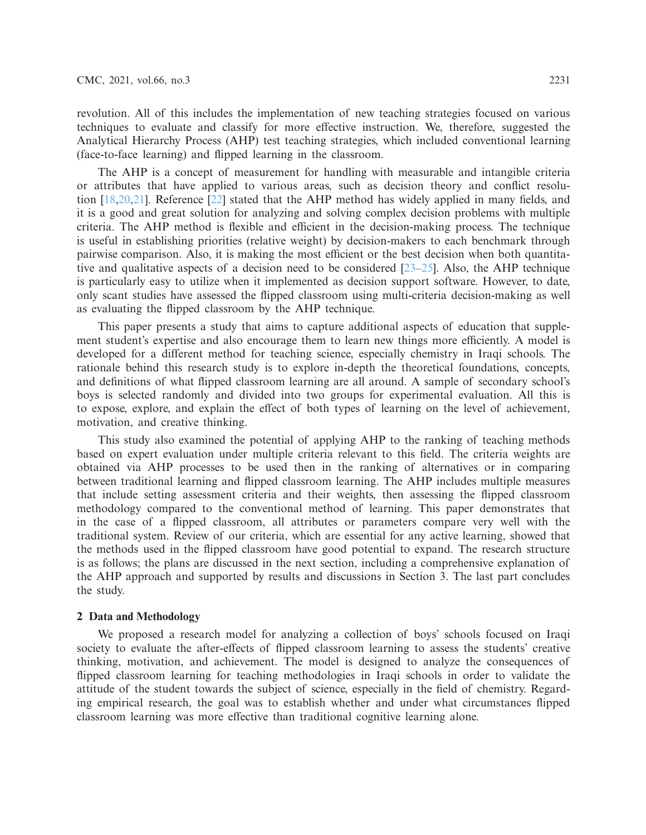revolution. All of this includes the implementation of new teaching strategies focused on various techniques to evaluate and classify for more effective instruction. We, therefore, suggested the Analytical Hierarchy Process (AHP) test teaching strategies, which included conventional learning (face-to-face learning) and flipped learning in the classroom.

The AHP is a concept of measurement for handling with measurable and intangible criteria or attributes that have applied to various areas, such as decision theory and conflict resolution [\[18](#page-10-2)[,20](#page-10-4)[,21\]](#page-10-5). Reference [\[22\]](#page-10-6) stated that the AHP method has widely applied in many fields, and it is a good and great solution for analyzing and solving complex decision problems with multiple criteria. The AHP method is flexible and efficient in the decision-making process. The technique is useful in establishing priorities (relative weight) by decision-makers to each benchmark through pairwise comparison. Also, it is making the most efficient or the best decision when both quantitative and qualitative aspects of a decision need to be considered  $[23-25]$  $[23-25]$ . Also, the AHP technique is particularly easy to utilize when it implemented as decision support software. However, to date, only scant studies have assessed the flipped classroom using multi-criteria decision-making as well as evaluating the flipped classroom by the AHP technique.

This paper presents a study that aims to capture additional aspects of education that supplement student's expertise and also encourage them to learn new things more efficiently. A model is developed for a different method for teaching science, especially chemistry in Iraqi schools. The rationale behind this research study is to explore in-depth the theoretical foundations, concepts, and definitions of what flipped classroom learning are all around. A sample of secondary school's boys is selected randomly and divided into two groups for experimental evaluation. All this is to expose, explore, and explain the effect of both types of learning on the level of achievement, motivation, and creative thinking.

This study also examined the potential of applying AHP to the ranking of teaching methods based on expert evaluation under multiple criteria relevant to this field. The criteria weights are obtained via AHP processes to be used then in the ranking of alternatives or in comparing between traditional learning and flipped classroom learning. The AHP includes multiple measures that include setting assessment criteria and their weights, then assessing the flipped classroom methodology compared to the conventional method of learning. This paper demonstrates that in the case of a flipped classroom, all attributes or parameters compare very well with the traditional system. Review of our criteria, which are essential for any active learning, showed that the methods used in the flipped classroom have good potential to expand. The research structure is as follows; the plans are discussed in the next section, including a comprehensive explanation of the AHP approach and supported by results and discussions in Section 3. The last part concludes the study.

#### **2 Data and Methodology**

We proposed a research model for analyzing a collection of boys' schools focused on Iraqi society to evaluate the after-effects of flipped classroom learning to assess the students' creative thinking, motivation, and achievement. The model is designed to analyze the consequences of flipped classroom learning for teaching methodologies in Iraqi schools in order to validate the attitude of the student towards the subject of science, especially in the field of chemistry. Regarding empirical research, the goal was to establish whether and under what circumstances flipped classroom learning was more effective than traditional cognitive learning alone.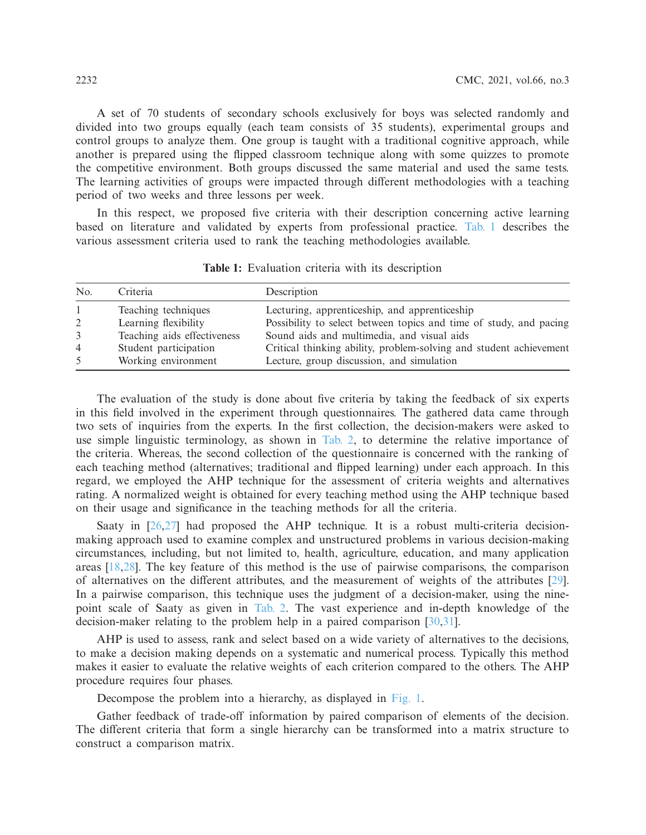A set of 70 students of secondary schools exclusively for boys was selected randomly and divided into two groups equally (each team consists of 35 students), experimental groups and control groups to analyze them. One group is taught with a traditional cognitive approach, while another is prepared using the flipped classroom technique along with some quizzes to promote the competitive environment. Both groups discussed the same material and used the same tests. The learning activities of groups were impacted through different methodologies with a teaching period of two weeks and three lessons per week.

In this respect, we proposed five criteria with their description concerning active learning based on literature and validated by experts from professional practice. [Tab. 1](#page-3-0) describes the various assessment criteria used to rank the teaching methodologies available.

| No.            | Criteria                    | Description                                                        |
|----------------|-----------------------------|--------------------------------------------------------------------|
|                | Teaching techniques         | Lecturing, apprenticeship, and apprenticeship                      |
| 2              | Learning flexibility        | Possibility to select between topics and time of study, and pacing |
| 3              | Teaching aids effectiveness | Sound aids and multimedia, and visual aids                         |
| $\overline{4}$ | Student participation       | Critical thinking ability, problem-solving and student achievement |
| 5              | Working environment         | Lecture, group discussion, and simulation                          |

<span id="page-3-0"></span>**Table 1:** Evaluation criteria with its description

The evaluation of the study is done about five criteria by taking the feedback of six experts in this field involved in the experiment through questionnaires. The gathered data came through two sets of inquiries from the experts. In the first collection, the decision-makers were asked to use simple linguistic terminology, as shown in [Tab. 2,](#page-4-0) to determine the relative importance of the criteria. Whereas, the second collection of the questionnaire is concerned with the ranking of each teaching method (alternatives; traditional and flipped learning) under each approach. In this regard, we employed the AHP technique for the assessment of criteria weights and alternatives rating. A normalized weight is obtained for every teaching method using the AHP technique based on their usage and significance in the teaching methods for all the criteria.

Saaty in [\[26](#page-10-9)[,27](#page-10-10)] had proposed the AHP technique. It is a robust multi-criteria decisionmaking approach used to examine complex and unstructured problems in various decision-making circumstances, including, but not limited to, health, agriculture, education, and many application areas [\[18](#page-10-2)[,28](#page-10-11)]. The key feature of this method is the use of pairwise comparisons, the comparison of alternatives on the different attributes, and the measurement of weights of the attributes [\[29\]](#page-10-12). In a pairwise comparison, this technique uses the judgment of a decision-maker, using the ninepoint scale of Saaty as given in [Tab. 2.](#page-4-0) The vast experience and in-depth knowledge of the decision-maker relating to the problem help in a paired comparison [\[30](#page-10-13)[,31\]](#page-10-14).

AHP is used to assess, rank and select based on a wide variety of alternatives to the decisions, to make a decision making depends on a systematic and numerical process. Typically this method makes it easier to evaluate the relative weights of each criterion compared to the others. The AHP procedure requires four phases.

Decompose the problem into a hierarchy, as displayed in [Fig. 1.](#page-4-1)

Gather feedback of trade-off information by paired comparison of elements of the decision. The different criteria that form a single hierarchy can be transformed into a matrix structure to construct a comparison matrix.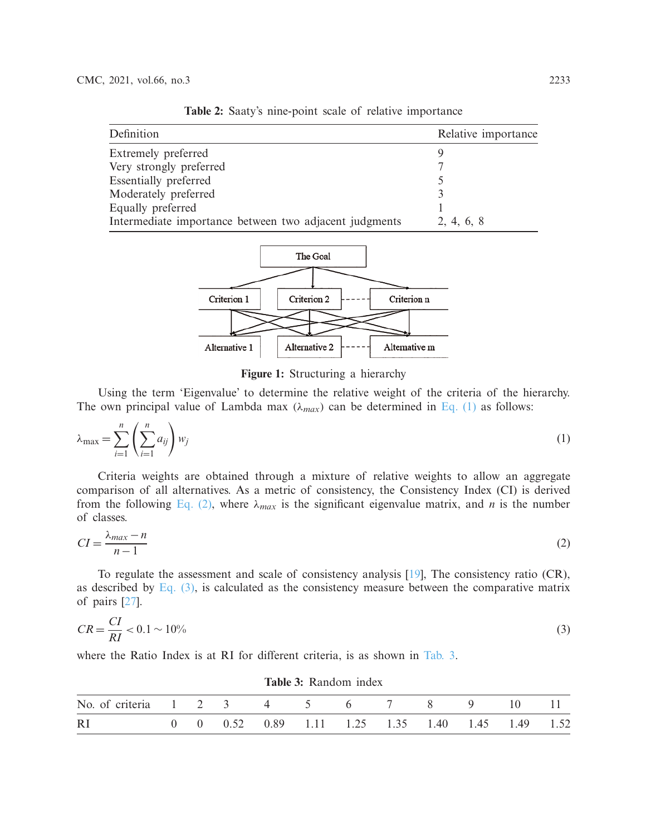| Definition                                             | Relative importance |
|--------------------------------------------------------|---------------------|
| Extremely preferred                                    |                     |
| Very strongly preferred                                |                     |
| Essentially preferred                                  |                     |
| Moderately preferred                                   |                     |
| Equally preferred                                      |                     |
| Intermediate importance between two adjacent judgments | 2, 4, 6, 8          |

<span id="page-4-0"></span>**Table 2:** Saaty's nine-point scale of relative importance



<span id="page-4-2"></span><span id="page-4-1"></span>**Figure 1:** Structuring a hierarchy

Using the term 'Eigenvalue' to determine the relative weight of the criteria of the hierarchy. The own principal value of Lambda max  $(\lambda_{max})$  can be determined in [Eq. \(1\)](#page-4-2) as follows:

$$
\lambda_{\max} = \sum_{i=1}^{n} \left( \sum_{i=1}^{n} a_{ij} \right) w_j \tag{1}
$$

Criteria weights are obtained through a mixture of relative weights to allow an aggregate comparison of all alternatives. As a metric of consistency, the Consistency Index (CI) is derived from the following [Eq. \(2\),](#page-4-3) where  $\lambda_{max}$  is the significant eigenvalue matrix, and *n* is the number of classes.

<span id="page-4-3"></span>
$$
CI = \frac{\lambda_{max} - n}{n - 1} \tag{2}
$$

To regulate the assessment and scale of consistency analysis [\[19\]](#page-10-3), The consistency ratio (CR), as described by Eq.  $(3)$ , is calculated as the consistency measure between the comparative matrix of pairs [\[27](#page-10-10)].

<span id="page-4-4"></span>
$$
CR = \frac{CI}{RI} < 0.1 \sim 10\% \tag{3}
$$

where the Ratio Index is at RI for different criteria, is as shown in [Tab. 3.](#page-4-5)

| <b>Table 3:</b> Random index      |  |  |  |  |  |                                                  |  |  |            |  |
|-----------------------------------|--|--|--|--|--|--------------------------------------------------|--|--|------------|--|
| No. of criteria 1 2 3 4 5 6 7 8 9 |  |  |  |  |  |                                                  |  |  | $10 \t 11$ |  |
| <sub>RI</sub>                     |  |  |  |  |  | 0 0 0.52 0.89 1.11 1.25 1.35 1.40 1.45 1.49 1.52 |  |  |            |  |

<span id="page-4-5"></span>Table 2: Dandom ind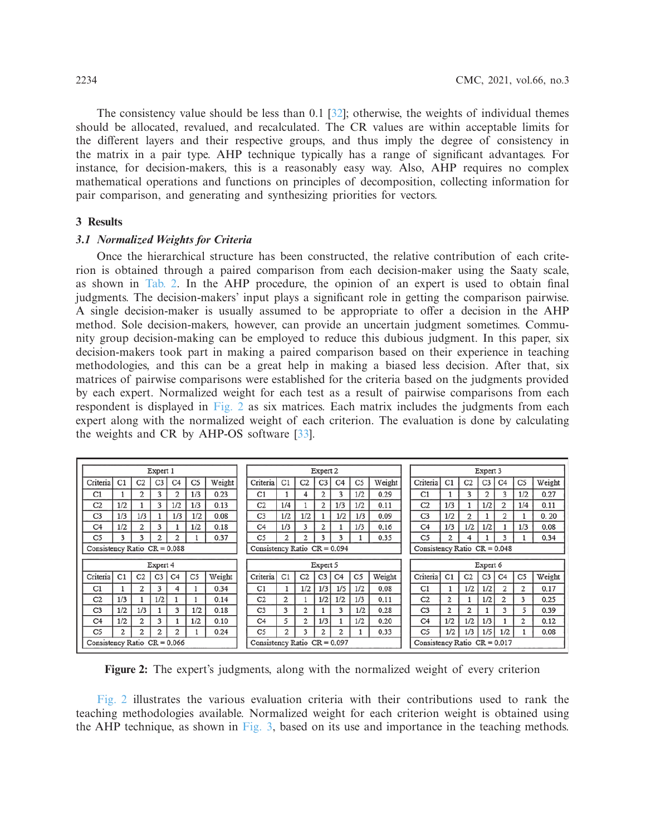The consistency value should be less than 0.1 [\[32\]](#page-10-15); otherwise, the weights of individual themes should be allocated, revalued, and recalculated. The CR values are within acceptable limits for the different layers and their respective groups, and thus imply the degree of consistency in the matrix in a pair type. AHP technique typically has a range of significant advantages. For instance, for decision-makers, this is a reasonably easy way. Also, AHP requires no complex mathematical operations and functions on principles of decomposition, collecting information for pair comparison, and generating and synthesizing priorities for vectors.

#### **3 Results**

#### *3.1 Normalized Weights for Criteria*

Once the hierarchical structure has been constructed, the relative contribution of each criterion is obtained through a paired comparison from each decision-maker using the Saaty scale, as shown in [Tab. 2.](#page-4-0) In the AHP procedure, the opinion of an expert is used to obtain final judgments. The decision-makers' input plays a significant role in getting the comparison pairwise. A single decision-maker is usually assumed to be appropriate to offer a decision in the AHP method. Sole decision-makers, however, can provide an uncertain judgment sometimes. Community group decision-making can be employed to reduce this dubious judgment. In this paper, six decision-makers took part in making a paired comparison based on their experience in teaching methodologies, and this can be a great help in making a biased less decision. After that, six matrices of pairwise comparisons were established for the criteria based on the judgments provided by each expert. Normalized weight for each test as a result of pairwise comparisons from each respondent is displayed in [Fig. 2](#page-5-0) as six matrices. Each matrix includes the judgments from each expert along with the normalized weight of each criterion. The evaluation is done by calculating the weights and CR by AHP-OS software [\[33\]](#page-10-16).

|                                |                      |                | Expert 1       |                |                |        |                                | Expert 2                       |     |                |                |                |                                | Expert 3 |                                |                |                |                |                |                |        |
|--------------------------------|----------------------|----------------|----------------|----------------|----------------|--------|--------------------------------|--------------------------------|-----|----------------|----------------|----------------|--------------------------------|----------|--------------------------------|----------------|----------------|----------------|----------------|----------------|--------|
| Criteria                       | C1                   | C <sub>2</sub> | C <sub>3</sub> | C <sub>4</sub> | C5             | Weight |                                | Criteria                       | C1  | C <sub>2</sub> | C <sub>3</sub> | C <sub>4</sub> | C <sub>5</sub>                 | Weight   | Criteria                       | C <sub>1</sub> | C <sub>2</sub> | C <sub>3</sub> | C <sub>4</sub> | C <sub>5</sub> | Weight |
| C1                             |                      | 2              | 3              | 2              | 1/3            | 0.23   |                                | C1                             |     | 4              | 2              | 3              | 1/2                            | 0.29     | C <sub>1</sub>                 |                | 3              | 2              | 3              | 1/2            | 0.27   |
| C <sub>2</sub>                 | 1/2                  |                | 3              | 1/2            | 1/3            | 0.13   |                                | C <sub>2</sub>                 | 1/4 |                | $\overline{2}$ | 1/3            | 1/2                            | 0.11     | C <sub>2</sub>                 | 1/3            |                | 1/2            | 2              | 1/4            | 0.11   |
| C <sub>3</sub>                 | 1/3                  | 1/3            |                | 1/3            | 1/2            | 0.08   |                                | C <sub>3</sub>                 | 1/2 | 1/2            |                | 1/2            | 1/3                            | 0.09     | C <sub>3</sub>                 | 1/2            | $\overline{2}$ |                | 2              |                | 0.20   |
| C <sub>4</sub>                 | 1/2                  | 2              | 3              |                | 1/2            | 0.18   |                                | C <sub>4</sub>                 | 1/3 | 3              | 2              |                | 1/3                            | 0.16     | C <sub>4</sub>                 | 1/3            | 1/2            | 1/2            |                | 1/3            | 0.08   |
| C <sub>5</sub>                 | 3                    | 3              | $\mathfrak{p}$ | 2              |                | 0.37   |                                | C <sub>5</sub>                 | 2   | 2              | 3              | 3              |                                | 0.35     | C <sub>5</sub>                 | 2              | 4              |                | 3              |                | 0.34   |
| Consistency Ratio $CR = 0.088$ |                      |                |                |                |                |        | Consistency Ratio $CR = 0.094$ |                                |     |                |                |                | Consistency Ratio $CR = 0.048$ |          |                                |                |                |                |                |                |        |
|                                | Expert 4<br>Expert 5 |                |                |                |                |        |                                | Expert 6                       |     |                |                |                |                                |          |                                |                |                |                |                |                |        |
| Criteria                       | C <sub>1</sub>       | C <sub>2</sub> | C <sub>3</sub> | C <sub>4</sub> | C <sub>5</sub> | Weight |                                | Criteria                       | C1  | C <sub>2</sub> | C <sub>3</sub> | C <sub>4</sub> | C <sub>5</sub>                 | Weight   | Criteria                       | C1             | C <sub>2</sub> | C <sub>3</sub> | C <sub>4</sub> | C <sub>5</sub> | Weight |
| C1                             |                      | 2              | 3              | 4              |                | 0.34   |                                | C1                             |     | 1/2            | 1/3            | 1/5            | 1/2                            | 0.08     | C1                             |                | 1/2            | 1/2            | 2              | 2              | 0.17   |
| C <sub>2</sub>                 | 1/3                  |                | 1/2            |                |                | 0.14   |                                | C <sub>2</sub>                 | 2   |                | 1/2            | 1/2            | 1/3                            | 0.11     | C <sub>2</sub>                 | $\overline{2}$ |                | 1/2            | 2              | 3              | 0.25   |
| C <sub>3</sub>                 | 1/2                  | 1/3            |                | 3              | 1/2            | 0.18   |                                | C <sub>3</sub>                 | 3   | 2              |                | 3              | 1/2                            | 0.28     | C <sub>3</sub>                 | $\overline{2}$ | $\overline{2}$ |                | 3              | 5              | 0.39   |
| C <sub>4</sub>                 | 1/2                  | $\overline{c}$ | 3              |                | 1/2            | 0.10   |                                | C <sub>4</sub>                 | 5   | 2              | 1/3            |                | 1/2                            | 0.20     | C <sub>4</sub>                 | 1/2            | 1/2            | 1/3            |                | 2              | 0.12   |
| C <sub>5</sub>                 | 2                    | 2              | $\mathfrak{D}$ | 2              |                | 0.24   |                                | C <sub>5</sub>                 | 2   | 3              | 2              | 2              |                                | 0.33     | C <sub>5</sub>                 | 1/2            | 1/3            | 1/5            | 1/2            |                | 0.08   |
| Consistency Ratio $CR = 0.066$ |                      |                |                |                |                |        |                                | Consistency Ratio $CR = 0.097$ |     |                |                |                |                                |          | Consistency Ratio $CR = 0.017$ |                |                |                |                |                |        |

<span id="page-5-0"></span>**Figure 2:** The expert's judgments, along with the normalized weight of every criterion

[Fig. 2](#page-5-0) illustrates the various evaluation criteria with their contributions used to rank the teaching methodologies available. Normalized weight for each criterion weight is obtained using the AHP technique, as shown in [Fig. 3,](#page-6-0) based on its use and importance in the teaching methods.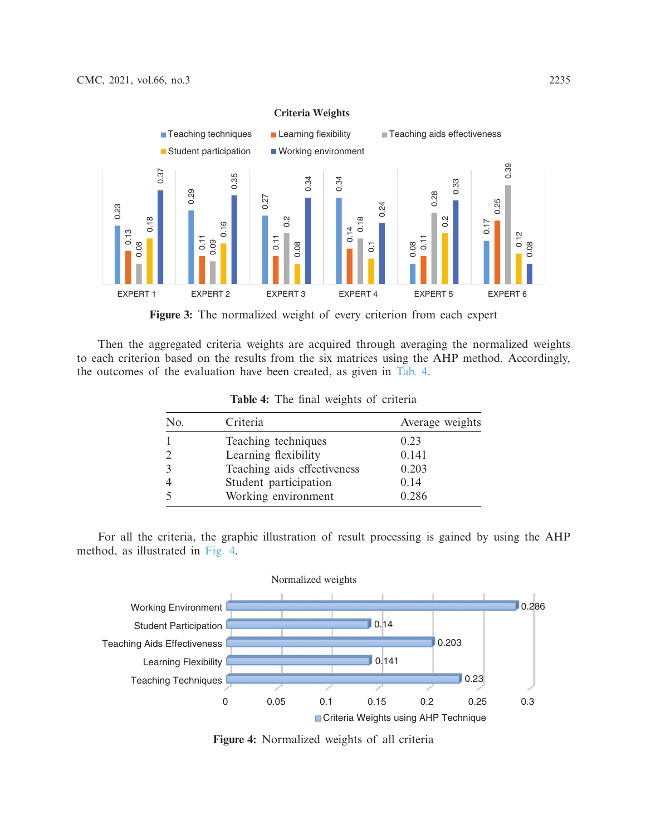

**Criteria Weights**

<span id="page-6-0"></span>**Figure 3:** The normalized weight of every criterion from each expert

Then the aggregated criteria weights are acquired through averaging the normalized weights to each criterion based on the results from the six matrices using the AHP method. Accordingly, the outcomes of the evaluation have been created, as given in [Tab. 4.](#page-6-1)

| No. | Criteria                    | Average weights |
|-----|-----------------------------|-----------------|
|     | Teaching techniques         | 0.23            |
|     | Learning flexibility        | 0.141           |
|     | Teaching aids effectiveness | 0.203           |
|     | Student participation       | 0.14            |
|     | Working environment         | 0.286           |

<span id="page-6-1"></span>**Table 4:** The final weights of criteria

For all the criteria, the graphic illustration of result processing is gained by using the AHP method, as illustrated in [Fig. 4.](#page-6-2)



<span id="page-6-2"></span>**Figure 4:** Normalized weights of all criteria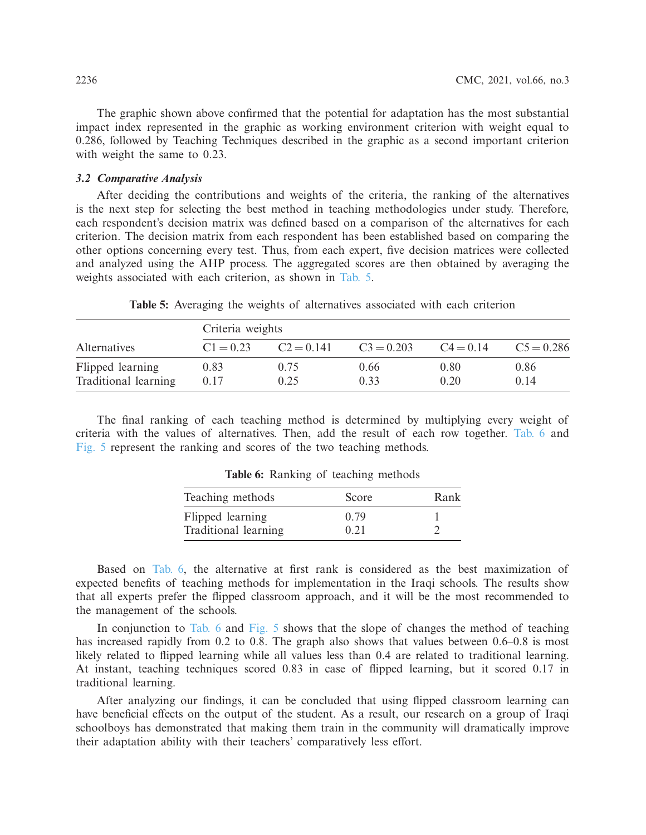The graphic shown above confirmed that the potential for adaptation has the most substantial impact index represented in the graphic as working environment criterion with weight equal to 0.286, followed by Teaching Techniques described in the graphic as a second important criterion with weight the same to 0.23.

### *3.2 Comparative Analysis*

After deciding the contributions and weights of the criteria, the ranking of the alternatives is the next step for selecting the best method in teaching methodologies under study. Therefore, each respondent's decision matrix was defined based on a comparison of the alternatives for each criterion. The decision matrix from each respondent has been established based on comparing the other options concerning every test. Thus, from each expert, five decision matrices were collected and analyzed using the AHP process. The aggregated scores are then obtained by averaging the weights associated with each criterion, as shown in [Tab. 5.](#page-7-0)

|                                          | Criteria weights |              |               |              |               |  |  |  |  |  |  |  |
|------------------------------------------|------------------|--------------|---------------|--------------|---------------|--|--|--|--|--|--|--|
| <i>Alternatives</i>                      | $C1 = 0.23$      | $C2 = 0.141$ | $C_3 = 0.203$ | $C4 = 0.14$  | $C_5 = 0.286$ |  |  |  |  |  |  |  |
| Flipped learning<br>Traditional learning | 0.83<br>0.17     | 0.75<br>0.25 | 0.66<br>0.33  | 0.80<br>0.20 | 0.86<br>0.14  |  |  |  |  |  |  |  |

<span id="page-7-0"></span>**Table 5:** Averaging the weights of alternatives associated with each criterion

The final ranking of each teaching method is determined by multiplying every weight of criteria with the values of alternatives. Then, add the result of each row together. [Tab. 6](#page-7-1) and [Fig. 5](#page-8-0) represent the ranking and scores of the two teaching methods.

| Teaching methods     | Score | Rank |
|----------------------|-------|------|
| Flipped learning     | 0.79  |      |
| Traditional learning | 0.21  |      |

<span id="page-7-1"></span>**Table 6:** Ranking of teaching methods

Based on [Tab. 6,](#page-7-1) the alternative at first rank is considered as the best maximization of expected benefits of teaching methods for implementation in the Iraqi schools. The results show that all experts prefer the flipped classroom approach, and it will be the most recommended to the management of the schools.

In conjunction to [Tab. 6](#page-7-1) and [Fig. 5](#page-8-0) shows that the slope of changes the method of teaching has increased rapidly from 0.2 to 0.8. The graph also shows that values between 0.6–0.8 is most likely related to flipped learning while all values less than 0.4 are related to traditional learning. At instant, teaching techniques scored 0.83 in case of flipped learning, but it scored 0.17 in traditional learning.

After analyzing our findings, it can be concluded that using flipped classroom learning can have beneficial effects on the output of the student. As a result, our research on a group of Iraqi schoolboys has demonstrated that making them train in the community will dramatically improve their adaptation ability with their teachers' comparatively less effort.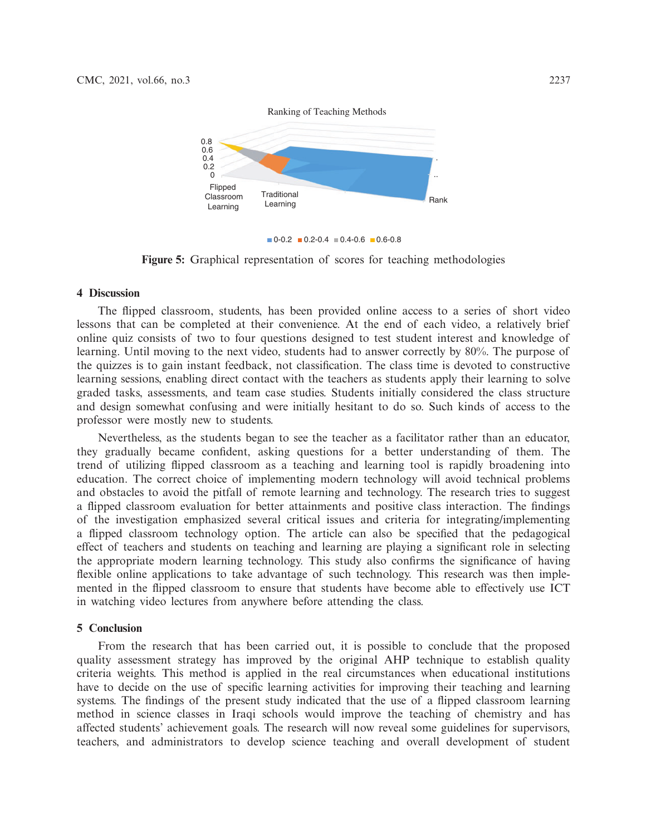

 $\blacksquare$  0-0.2  $\blacksquare$  0.2-0.4  $\blacksquare$  0.4-0.6  $\blacksquare$  0.6-0.8

<span id="page-8-0"></span>**Figure 5:** Graphical representation of scores for teaching methodologies

#### **4 Discussion**

The flipped classroom, students, has been provided online access to a series of short video lessons that can be completed at their convenience. At the end of each video, a relatively brief online quiz consists of two to four questions designed to test student interest and knowledge of learning. Until moving to the next video, students had to answer correctly by 80%. The purpose of the quizzes is to gain instant feedback, not classification. The class time is devoted to constructive learning sessions, enabling direct contact with the teachers as students apply their learning to solve graded tasks, assessments, and team case studies. Students initially considered the class structure and design somewhat confusing and were initially hesitant to do so. Such kinds of access to the professor were mostly new to students.

Nevertheless, as the students began to see the teacher as a facilitator rather than an educator, they gradually became confident, asking questions for a better understanding of them. The trend of utilizing flipped classroom as a teaching and learning tool is rapidly broadening into education. The correct choice of implementing modern technology will avoid technical problems and obstacles to avoid the pitfall of remote learning and technology. The research tries to suggest a flipped classroom evaluation for better attainments and positive class interaction. The findings of the investigation emphasized several critical issues and criteria for integrating/implementing a flipped classroom technology option. The article can also be specified that the pedagogical effect of teachers and students on teaching and learning are playing a significant role in selecting the appropriate modern learning technology. This study also confirms the significance of having flexible online applications to take advantage of such technology. This research was then implemented in the flipped classroom to ensure that students have become able to effectively use ICT in watching video lectures from anywhere before attending the class.

## **5 Conclusion**

From the research that has been carried out, it is possible to conclude that the proposed quality assessment strategy has improved by the original AHP technique to establish quality criteria weights. This method is applied in the real circumstances when educational institutions have to decide on the use of specific learning activities for improving their teaching and learning systems. The findings of the present study indicated that the use of a flipped classroom learning method in science classes in Iraqi schools would improve the teaching of chemistry and has affected students' achievement goals. The research will now reveal some guidelines for supervisors, teachers, and administrators to develop science teaching and overall development of student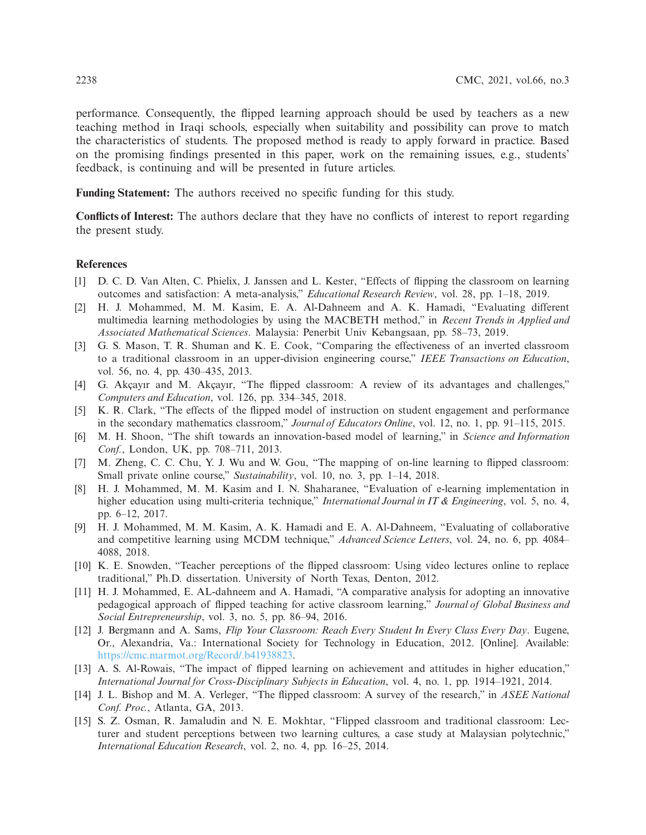performance. Consequently, the flipped learning approach should be used by teachers as a new teaching method in Iraqi schools, especially when suitability and possibility can prove to match the characteristics of students. The proposed method is ready to apply forward in practice. Based on the promising findings presented in this paper, work on the remaining issues, e.g., students' feedback, is continuing and will be presented in future articles.

**Funding Statement:** The authors received no specific funding for this study.

**Conflicts of Interest:** The authors declare that they have no conflicts of interest to report regarding the present study.

#### **References**

- <span id="page-9-0"></span>[1] D. C. D. Van Alten, C. Phielix, J. Janssen and L. Kester, "Effects of flipping the classroom on learning outcomes and satisfaction: A meta-analysis," *Educational Research Review*, vol. 28, pp. 1–18, 2019.
- <span id="page-9-1"></span>[2] H. J. Mohammed, M. M. Kasim, E. A. Al-Dahneem and A. K. Hamadi, "Evaluating different multimedia learning methodologies by using the MACBETH method," in *Recent Trends in Applied and Associated Mathematical Sciences*. Malaysia: Penerbit Univ Kebangsaan, pp. 58–73, 2019.
- <span id="page-9-2"></span>[3] G. S. Mason, T. R. Shuman and K. E. Cook, "Comparing the effectiveness of an inverted classroom to a traditional classroom in an upper-division engineering course," *IEEE Transactions on Education*, vol. 56, no. 4, pp. 430–435, 2013.
- <span id="page-9-3"></span>[4] G. Akçayır and M. Akçayır, "The flipped classroom: A review of its advantages and challenges," *Computers and Education*, vol. 126, pp. 334–345, 2018.
- <span id="page-9-4"></span>[5] K. R. Clark, "The effects of the flipped model of instruction on student engagement and performance in the secondary mathematics classroom," *Journal of Educators Online*, vol. 12, no. 1, pp. 91–115, 2015.
- <span id="page-9-5"></span>[6] M. H. Shoon, "The shift towards an innovation-based model of learning," in *Science and Information Conf.*, London, UK, pp. 708–711, 2013.
- <span id="page-9-6"></span>[7] M. Zheng, C. C. Chu, Y. J. Wu and W. Gou, "The mapping of on-line learning to flipped classroom: Small private online course," *Sustainability*, vol. 10, no. 3, pp. 1–14, 2018.
- [8] H. J. Mohammed, M. M. Kasim and I. N. Shaharanee, "Evaluation of e-learning implementation in higher education using multi-criteria technique," *International Journal in IT & Engineering*, vol. 5, no. 4, pp. 6–12, 2017.
- <span id="page-9-7"></span>[9] H. J. Mohammed, M. M. Kasim, A. K. Hamadi and E. A. Al-Dahneem, "Evaluating of collaborative and competitive learning using MCDM technique," *Advanced Science Letters*, vol. 24, no. 6, pp. 4084– 4088, 2018.
- <span id="page-9-8"></span>[10] K. E. Snowden, "Teacher perceptions of the flipped classroom: Using video lectures online to replace traditional," Ph.D. dissertation. University of North Texas, Denton, 2012.
- <span id="page-9-9"></span>[11] H. J. Mohammed, E. AL-dahneem and A. Hamadi, "A comparative analysis for adopting an innovative pedagogical approach of flipped teaching for active classroom learning," *Journal of Global Business and Social Entrepreneurship*, vol. 3, no. 5, pp. 86–94, 2016.
- <span id="page-9-10"></span>[12] J. Bergmann and A. Sams, *Flip Your Classroom: Reach Every Student In Every Class Every Day*. Eugene, Or., Alexandria, Va.: International Society for Technology in Education, 2012. [Online]. Available: [https://cmc.marmot.org/Record/.b41938823.](https://cmc.marmot.org/Record/.b41938823)
- <span id="page-9-11"></span>[13] A. S. Al-Rowais, "The impact of flipped learning on achievement and attitudes in higher education," *International Journal for Cross-Disciplinary Subjects in Education*, vol. 4, no. 1, pp. 1914–1921, 2014.
- <span id="page-9-12"></span>[14] J. L. Bishop and M. A. Verleger, "The flipped classroom: A survey of the research," in *ASEE National Conf. Proc.*, Atlanta, GA, 2013.
- <span id="page-9-13"></span>[15] S. Z. Osman, R. Jamaludin and N. E. Mokhtar, "Flipped classroom and traditional classroom: Lecturer and student perceptions between two learning cultures, a case study at Malaysian polytechnic," *International Education Research*, vol. 2, no. 4, pp. 16–25, 2014.